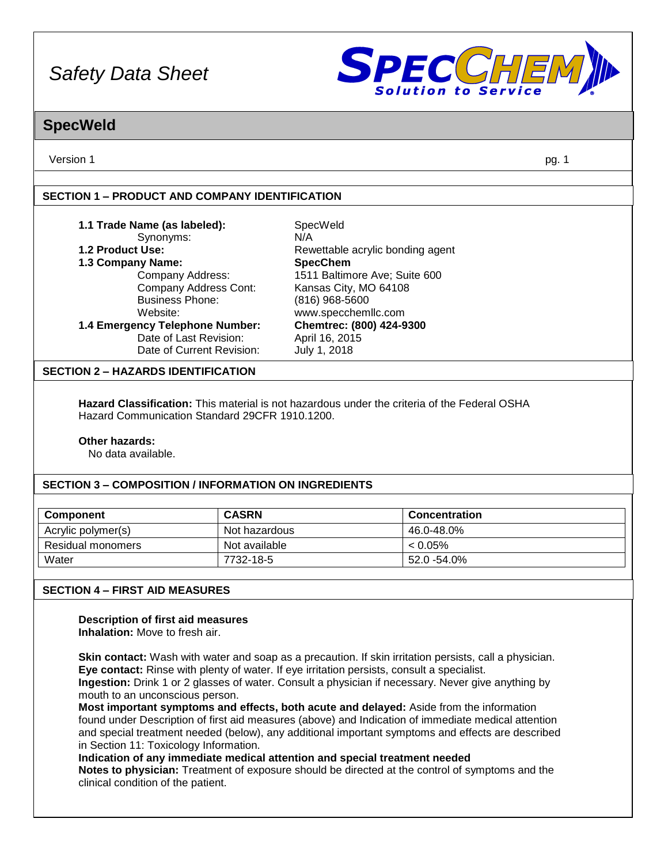

## **SpecWeld**

Version 1 pg. 1

### **SECTION 1 – PRODUCT AND COMPANY IDENTIFICATION**

| 1.1 Trade Name (as labeled):    | SpecWeld                         |  |
|---------------------------------|----------------------------------|--|
| Synonyms:                       | N/A                              |  |
| <b>1.2 Product Use:</b>         | Rewettable acrylic bonding agent |  |
| 1.3 Company Name:               | <b>SpecChem</b>                  |  |
| Company Address:                | 1511 Baltimore Ave; Suite 600    |  |
| Company Address Cont:           | Kansas City, MO 64108            |  |
| <b>Business Phone:</b>          | (816) 968-5600                   |  |
| Website:                        | www.specchemllc.com              |  |
| 1.4 Emergency Telephone Number: | Chemtrec: (800) 424-9300         |  |
| Date of Last Revision:          | April 16, 2015                   |  |
| Date of Current Revision:       | July 1, 2018                     |  |

### **SECTION 2 – HAZARDS IDENTIFICATION**

**Hazard Classification:** This material is not hazardous under the criteria of the Federal OSHA Hazard Communication Standard 29CFR 1910.1200.

### **Other hazards:**

No data available.

### **SECTION 3 – COMPOSITION / INFORMATION ON INGREDIENTS**

| Component          | <b>CASRN</b>  | <b>Concentration</b> |
|--------------------|---------------|----------------------|
| Acrylic polymer(s) | Not hazardous | 46.0-48.0%           |
| Residual monomers  | Not available | $0.05\%$             |
| Water              | 7732-18-5     | 52.0 -54.0%          |

### **SECTION 4 – FIRST AID MEASURES**

# **Description of first aid measures**

**Inhalation:** Move to fresh air.

**Skin contact:** Wash with water and soap as a precaution. If skin irritation persists, call a physician. **Eye contact:** Rinse with plenty of water. If eye irritation persists, consult a specialist.

**Ingestion:** Drink 1 or 2 glasses of water. Consult a physician if necessary. Never give anything by mouth to an unconscious person.

**Most important symptoms and effects, both acute and delayed:** Aside from the information found under Description of first aid measures (above) and Indication of immediate medical attention and special treatment needed (below), any additional important symptoms and effects are described in Section 11: Toxicology Information.

### **Indication of any immediate medical attention and special treatment needed**

**Notes to physician:** Treatment of exposure should be directed at the control of symptoms and the clinical condition of the patient.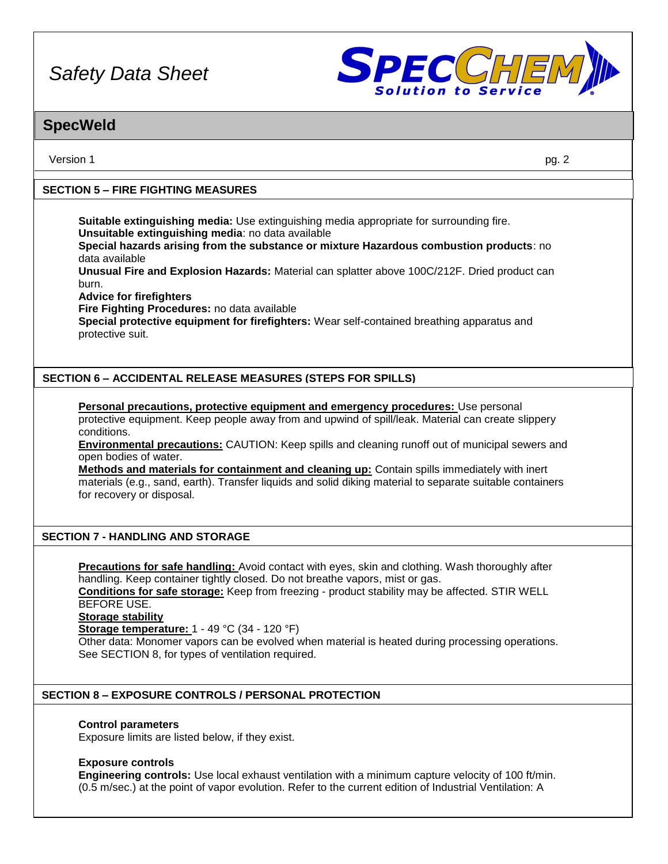

# **SpecWeld**

Version 1 pg. 2

## **SECTION 5 – FIRE FIGHTING MEASURES**

**Suitable extinguishing media:** Use extinguishing media appropriate for surrounding fire. **Unsuitable extinguishing media**: no data available

**Special hazards arising from the substance or mixture Hazardous combustion products**: no data available

**Unusual Fire and Explosion Hazards:** Material can splatter above 100C/212F. Dried product can burn.

**Advice for firefighters**

**Fire Fighting Procedures:** no data available

**Special protective equipment for firefighters:** Wear self-contained breathing apparatus and protective suit.

## **SECTION 6 – ACCIDENTAL RELEASE MEASURES (STEPS FOR SPILLS)**

**Personal precautions, protective equipment and emergency procedures:** Use personal protective equipment. Keep people away from and upwind of spill/leak. Material can create slippery conditions.

**Environmental precautions:** CAUTION: Keep spills and cleaning runoff out of municipal sewers and open bodies of water.

**Methods and materials for containment and cleaning up:** Contain spills immediately with inert materials (e.g., sand, earth). Transfer liquids and solid diking material to separate suitable containers for recovery or disposal.

### **SECTION 7 - HANDLING AND STORAGE**

**Precautions for safe handling:** Avoid contact with eyes, skin and clothing. Wash thoroughly after handling. Keep container tightly closed. Do not breathe vapors, mist or gas.

**Conditions for safe storage:** Keep from freezing - product stability may be affected. STIR WELL BEFORE USE.

**Storage stability**

**Storage temperature:** 1 - 49 °C (34 - 120 °F)

Other data: Monomer vapors can be evolved when material is heated during processing operations. See SECTION 8, for types of ventilation required.

### **SECTION 8 – EXPOSURE CONTROLS / PERSONAL PROTECTION**

### **Control parameters**

Exposure limits are listed below, if they exist.

### **Exposure controls**

**Engineering controls:** Use local exhaust ventilation with a minimum capture velocity of 100 ft/min. (0.5 m/sec.) at the point of vapor evolution. Refer to the current edition of Industrial Ventilation: A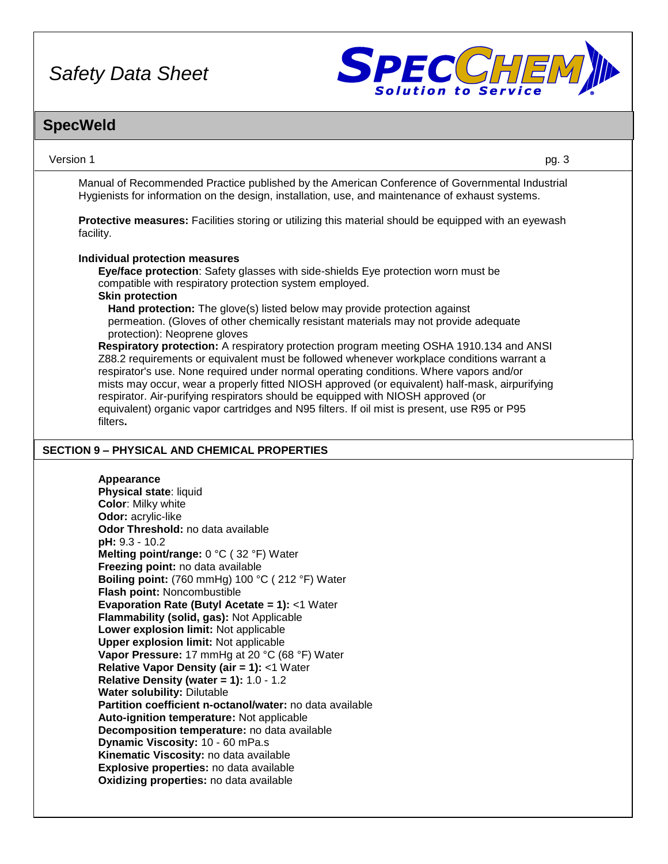

# **SpecWeld**

Version 1 pg. 3

Manual of Recommended Practice published by the American Conference of Governmental Industrial Hygienists for information on the design, installation, use, and maintenance of exhaust systems.

**Protective measures:** Facilities storing or utilizing this material should be equipped with an eyewash facility.

### **Individual protection measures**

**Eye/face protection**: Safety glasses with side-shields Eye protection worn must be compatible with respiratory protection system employed. **Skin protection**

**Hand protection:** The glove(s) listed below may provide protection against permeation. (Gloves of other chemically resistant materials may not provide adequate protection): Neoprene gloves

**Respiratory protection:** A respiratory protection program meeting OSHA 1910.134 and ANSI Z88.2 requirements or equivalent must be followed whenever workplace conditions warrant a respirator's use. None required under normal operating conditions. Where vapors and/or mists may occur, wear a properly fitted NIOSH approved (or equivalent) half-mask, airpurifying respirator. Air-purifying respirators should be equipped with NIOSH approved (or equivalent) organic vapor cartridges and N95 filters. If oil mist is present, use R95 or P95 filters**.**

### **SECTION 9 – PHYSICAL AND CHEMICAL PROPERTIES**

### **Appearance**

**Physical state**: liquid **Color**: Milky white **Odor:** acrylic-like **Odor Threshold:** no data available **pH:** 9.3 - 10.2 **Melting point/range:** 0 °C ( 32 °F) Water **Freezing point:** no data available **Boiling point:** (760 mmHg) 100 °C ( 212 °F) Water **Flash point:** Noncombustible **Evaporation Rate (Butyl Acetate = 1):** <1 Water **Flammability (solid, gas):** Not Applicable **Lower explosion limit:** Not applicable **Upper explosion limit:** Not applicable **Vapor Pressure:** 17 mmHg at 20 °C (68 °F) Water **Relative Vapor Density (air = 1):** <1 Water **Relative Density (water = 1):** 1.0 - 1.2 **Water solubility:** Dilutable **Partition coefficient n-octanol/water:** no data available **Auto-ignition temperature:** Not applicable **Decomposition temperature:** no data available **Dynamic Viscosity:** 10 - 60 mPa.s **Kinematic Viscosity:** no data available **Explosive properties:** no data available **Oxidizing properties:** no data available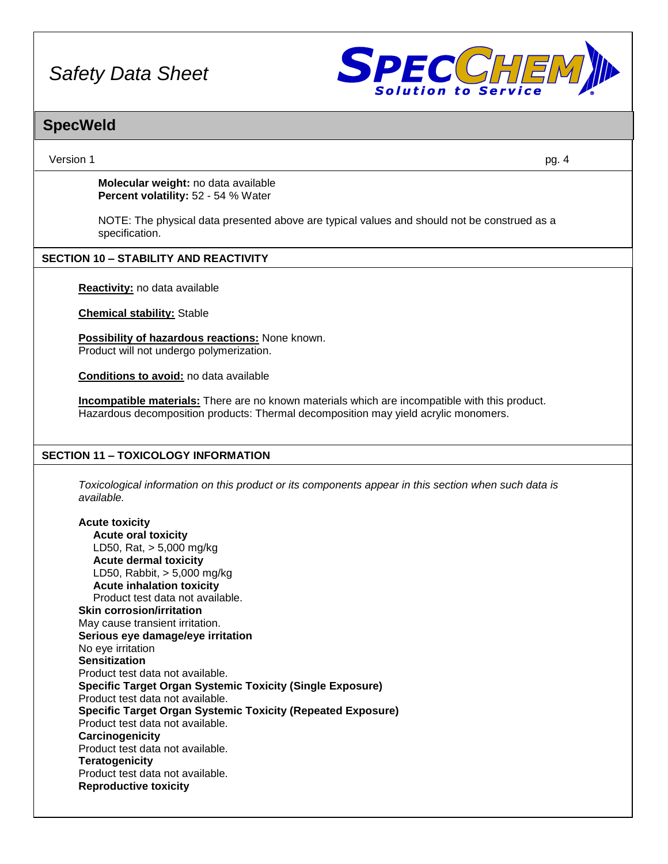

# **SpecWeld**

Version 1 pg. 4

**Molecular weight:** no data available **Percent volatility:** 52 - 54 % Water

NOTE: The physical data presented above are typical values and should not be construed as a specification.

### **SECTION 10 – STABILITY AND REACTIVITY**

**Reactivity:** no data available

**Chemical stability:** Stable

**Possibility of hazardous reactions:** None known. Product will not undergo polymerization.

**Conditions to avoid:** no data available

**Incompatible materials:** There are no known materials which are incompatible with this product. Hazardous decomposition products: Thermal decomposition may yield acrylic monomers.

## **SECTION 11 – TOXICOLOGY INFORMATION**

*Toxicological information on this product or its components appear in this section when such data is available.*

**Acute toxicity Acute oral toxicity** LD50, Rat, > 5,000 mg/kg **Acute dermal toxicity** LD50, Rabbit, > 5,000 mg/kg **Acute inhalation toxicity** Product test data not available. **Skin corrosion/irritation** May cause transient irritation. **Serious eye damage/eye irritation** No eye irritation **Sensitization** Product test data not available. **Specific Target Organ Systemic Toxicity (Single Exposure)** Product test data not available. **Specific Target Organ Systemic Toxicity (Repeated Exposure)** Product test data not available. **Carcinogenicity** Product test data not available. **Teratogenicity** Product test data not available. **Reproductive toxicity**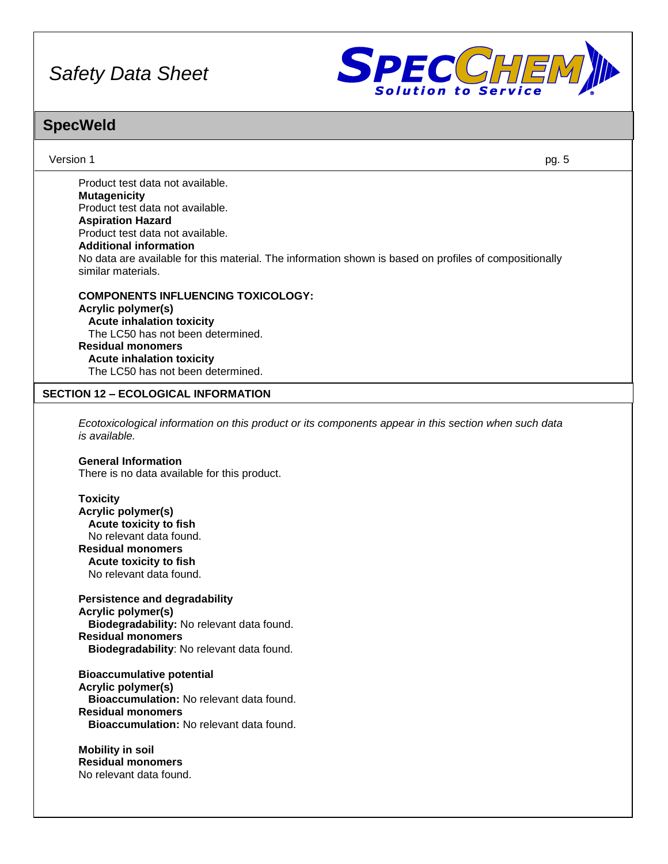

# **SpecWeld**

Version 1 pg. 5

Product test data not available. **Mutagenicity** Product test data not available. **Aspiration Hazard** Product test data not available. **Additional information** No data are available for this material. The information shown is based on profiles of compositionally similar materials.

**COMPONENTS INFLUENCING TOXICOLOGY: Acrylic polymer(s) Acute inhalation toxicity** The LC50 has not been determined. **Residual monomers Acute inhalation toxicity** The LC50 has not been determined.

### **SECTION 12 – ECOLOGICAL INFORMATION**

*Ecotoxicological information on this product or its components appear in this section when such data is available.*

#### **General Information**

There is no data available for this product.

### **Toxicity**

**Acrylic polymer(s) Acute toxicity to fish** No relevant data found. **Residual monomers Acute toxicity to fish** No relevant data found.

**Persistence and degradability Acrylic polymer(s) Biodegradability:** No relevant data found. **Residual monomers Biodegradability**: No relevant data found.

**Bioaccumulative potential Acrylic polymer(s) Bioaccumulation:** No relevant data found. **Residual monomers Bioaccumulation:** No relevant data found.

**Mobility in soil Residual monomers** No relevant data found.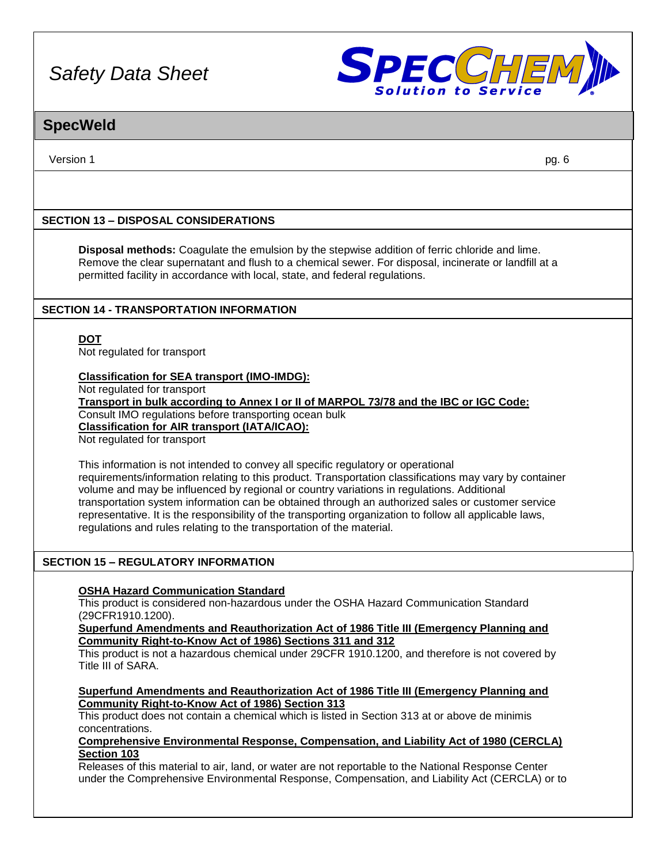

# **SpecWeld**

Version 1 pg. 6

## **SECTION 13 – DISPOSAL CONSIDERATIONS**

**Disposal methods:** Coagulate the emulsion by the stepwise addition of ferric chloride and lime. Remove the clear supernatant and flush to a chemical sewer. For disposal, incinerate or landfill at a permitted facility in accordance with local, state, and federal regulations.

### **SECTION 14 - TRANSPORTATION INFORMATION**

**DOT**

Not regulated for transport

### **Classification for SEA transport (IMO-IMDG):**

Not regulated for transport

**Transport in bulk according to Annex I or II of MARPOL 73/78 and the IBC or IGC Code:** Consult IMO regulations before transporting ocean bulk **Classification for AIR transport (IATA/ICAO):**

Not regulated for transport

This information is not intended to convey all specific regulatory or operational requirements/information relating to this product. Transportation classifications may vary by container volume and may be influenced by regional or country variations in regulations. Additional transportation system information can be obtained through an authorized sales or customer service representative. It is the responsibility of the transporting organization to follow all applicable laws, regulations and rules relating to the transportation of the material.

### **SECTION 15 – REGULATORY INFORMATION**

### **OSHA Hazard Communication Standard**

This product is considered non-hazardous under the OSHA Hazard Communication Standard (29CFR1910.1200).

**Superfund Amendments and Reauthorization Act of 1986 Title III (Emergency Planning and Community Right-to-Know Act of 1986) Sections 311 and 312**

This product is not a hazardous chemical under 29CFR 1910.1200, and therefore is not covered by Title III of SARA.

**Superfund Amendments and Reauthorization Act of 1986 Title III (Emergency Planning and Community Right-to-Know Act of 1986) Section 313**

This product does not contain a chemical which is listed in Section 313 at or above de minimis concentrations.

### **Comprehensive Environmental Response, Compensation, and Liability Act of 1980 (CERCLA) Section 103**

Releases of this material to air, land, or water are not reportable to the National Response Center under the Comprehensive Environmental Response, Compensation, and Liability Act (CERCLA) or to